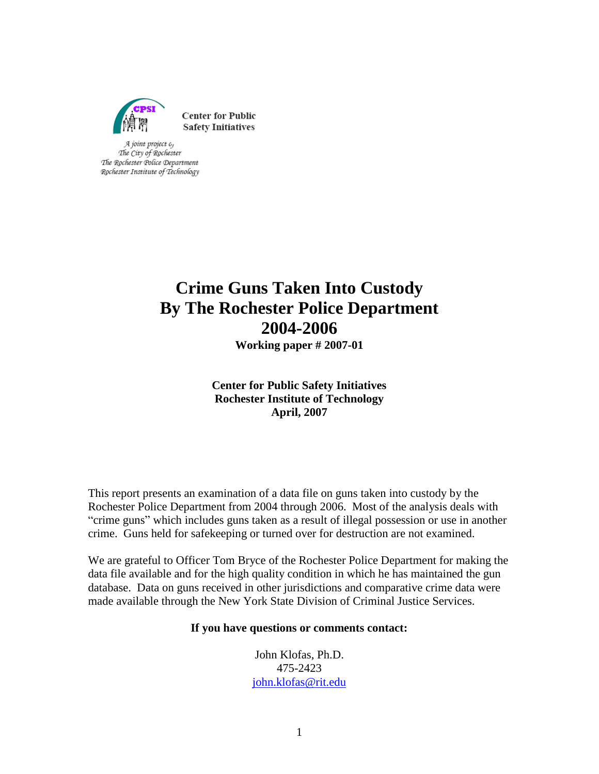

**Center for Public Safety Initiatives** 

A joint project 0, The City of Rochester The Rochester Police Department Rochester Institute of Technology

# **Crime Guns Taken Into Custody By The Rochester Police Department 2004-2006**

**Working paper # 2007-01**

**Center for Public Safety Initiatives Rochester Institute of Technology April, 2007**

This report presents an examination of a data file on guns taken into custody by the Rochester Police Department from 2004 through 2006. Most of the analysis deals with "crime guns" which includes guns taken as a result of illegal possession or use in another crime. Guns held for safekeeping or turned over for destruction are not examined.

We are grateful to Officer Tom Bryce of the Rochester Police Department for making the data file available and for the high quality condition in which he has maintained the gun database. Data on guns received in other jurisdictions and comparative crime data were made available through the New York State Division of Criminal Justice Services.

## **If you have questions or comments contact:**

John Klofas, Ph.D. 475-2423 [john.klofas@rit.edu](mailto:john.klofas@rit.edu)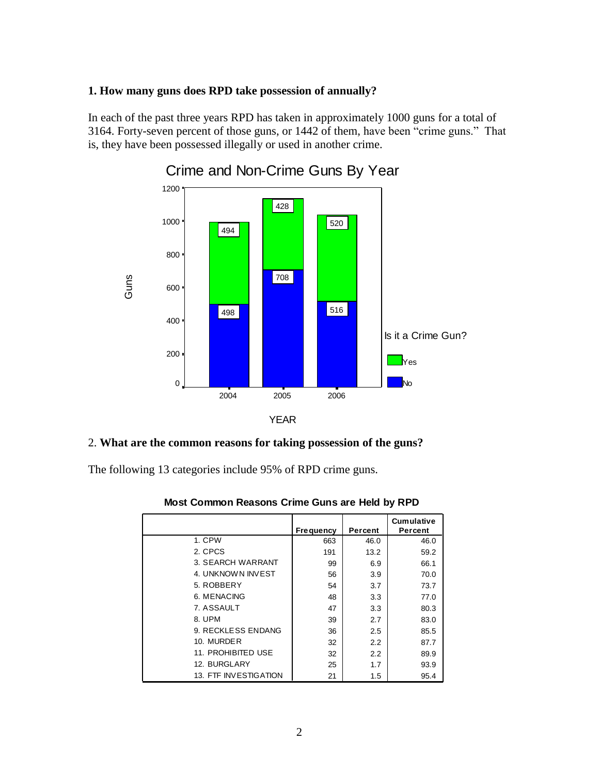### **1. How many guns does RPD take possession of annually?**

In each of the past three years RPD has taken in approximately 1000 guns for a total of 3164. Forty-seven percent of those guns, or 1442 of them, have been "crime guns." That is, they have been possessed illegally or used in another crime.



Crime and Non-Crime Guns By Year

#### 2. **What are the common reasons for taking possession of the guns?**

The following 13 categories include 95% of RPD crime guns.

|                              | <b>Frequency</b> | Percent       | <b>Cumulative</b><br>Percent |
|------------------------------|------------------|---------------|------------------------------|
| 1. CPW                       | 663              | 46.0          | 46.0                         |
| 2. CPCS                      | 191              | 13.2          | 59.2                         |
| 3. SEARCH WARRANT            | 99               | 6.9           | 66.1                         |
| 4. UNKNOWN INVEST            | 56               | 3.9           | 70.0                         |
| 5. ROBBERY                   | 54               | 3.7           | 73.7                         |
| 6. MENACING                  | 48               | 3.3           | 77.0                         |
| 7. ASSAULT                   | 47               | 3.3           | 80.3                         |
| 8. UPM                       | 39               | 2.7           | 83.0                         |
| 9. RECKLESS ENDANG           | 36               | 2.5           | 85.5                         |
| 10. MURDER                   | 32               | 2.2           | 87.7                         |
| 11. PROHIBITED USE           | 32               | $2.2^{\circ}$ | 89.9                         |
| 12. BURGLARY                 | 25               | 1.7           | 93.9                         |
| <b>13. FTF INVESTIGATION</b> | 21               | 1.5           | 95.4                         |

**Most Common Reasons Crime Guns are Held by RPD**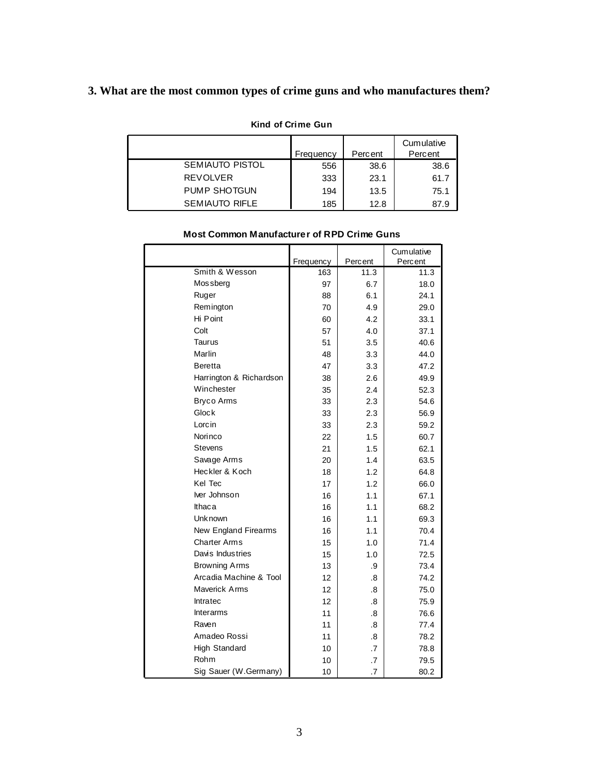## **3. What are the most common types of crime guns and who manufactures them?**

## **Kind of Crime Gun**

|                        | Frequency | Percent | Cumulative<br>Percent |
|------------------------|-----------|---------|-----------------------|
| <b>SEMIAUTO PISTOL</b> | 556       | 38.6    | 38.6                  |
| <b>REVOLVER</b>        | 333       | 23.1    | 61.7                  |
| PUMP SHOTGUN           | 194       | 13.5    | 75.1                  |
| <b>SEMIAUTO RIFLE</b>  | 185       | 12.8    | 87.9                  |

|                         | Frequency | Percent | Cumulative<br>Percent |
|-------------------------|-----------|---------|-----------------------|
| Smith & Wesson          | 163       | 11.3    | 11.3                  |
| Mos sberg               | 97        | 6.7     | 18.0                  |
| Ruger                   | 88        | 6.1     | 24.1                  |
| Remington               | 70        | 4.9     | 29.0                  |
| Hi Point                | 60        | 4.2     | 33.1                  |
| Colt                    | 57        | 4.0     | 37.1                  |
| Taurus                  | 51        | 3.5     | 40.6                  |
| Marlin                  | 48        | 3.3     | 44.0                  |
| <b>Beretta</b>          | 47        | 3.3     | 47.2                  |
| Harrington & Richardson | 38        | 2.6     | 49.9                  |
| Winchester              | 35        | 2.4     | 52.3                  |
| <b>Bryco Arms</b>       | 33        | 2.3     | 54.6                  |
| Glock                   | 33        | 2.3     | 56.9                  |
| Lorcin                  | 33        | 2.3     | 59.2                  |
| Norinco                 | 22        | 1.5     | 60.7                  |
| Stevens                 | 21        | 1.5     | 62.1                  |
| Savage Arms             | 20        | 1.4     | 63.5                  |
| Heckler & Koch          | 18        | 1.2     | 64.8                  |
| Kel Tec                 | 17        | 1.2     | 66.0                  |
| Iver Johnson            | 16        | 1.1     | 67.1                  |
| Ithaca                  | 16        | 1.1     | 68.2                  |
| Unk nown                | 16        | 1.1     | 69.3                  |
| New England Firearms    | 16        | 1.1     | 70.4                  |
| Charter Arms            | 15        | 1.0     | 71.4                  |
| Davis Industries        | 15        | 1.0     | 72.5                  |
| <b>Browning Arms</b>    | 13        | .9      | 73.4                  |
| Arcadia Machine & Tool  | 12        | .8      | 74.2                  |
| Maverick Arms           | 12        | .8      | 75.0                  |
| Intratec                | 12        | .8      | 75.9                  |
| <b>Interarms</b>        | 11        | .8      | 76.6                  |
| Raven                   | 11        | .8      | 77.4                  |
| Amadeo Rossi            | 11        | .8      | 78.2                  |
| High Standard           | 10        | .7      | 78.8                  |
| Rohm                    | 10        | .7      | 79.5                  |
| Sig Sauer (W.Germany)   | 10        | .7      | 80.2                  |

### **Most Common Manufacturer of RPD Crime Guns**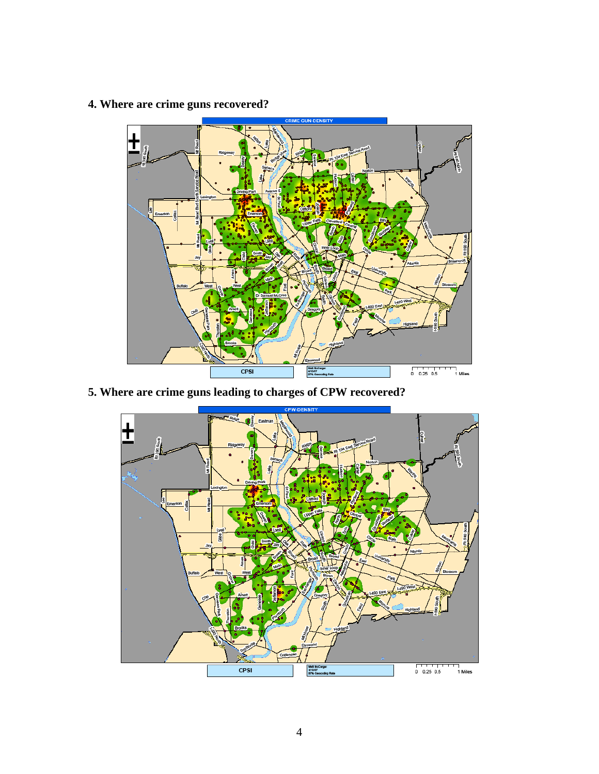## **4. Where are crime guns recovered?**



**5. Where are crime guns leading to charges of CPW recovered?**

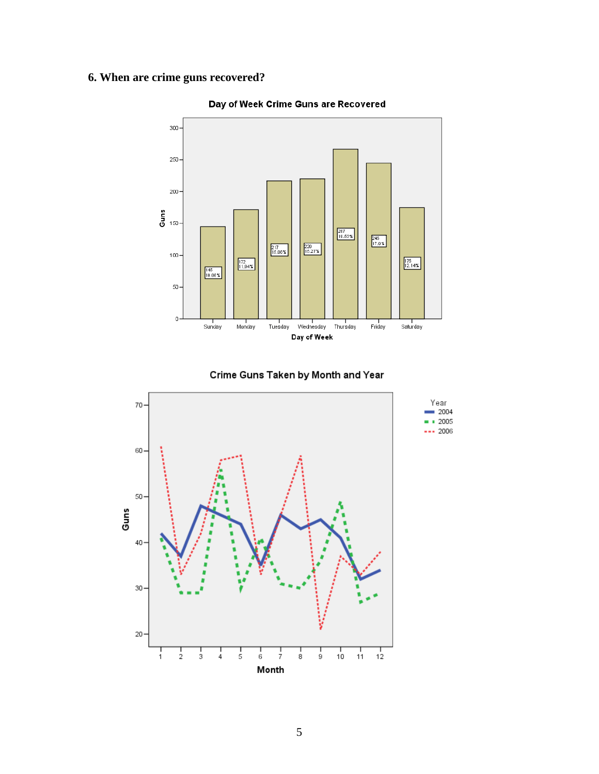## **6. When are crime guns recovered?**

![](_page_4_Figure_1.jpeg)

Day of Week Crime Guns are Recovered

![](_page_4_Figure_3.jpeg)

![](_page_4_Figure_4.jpeg)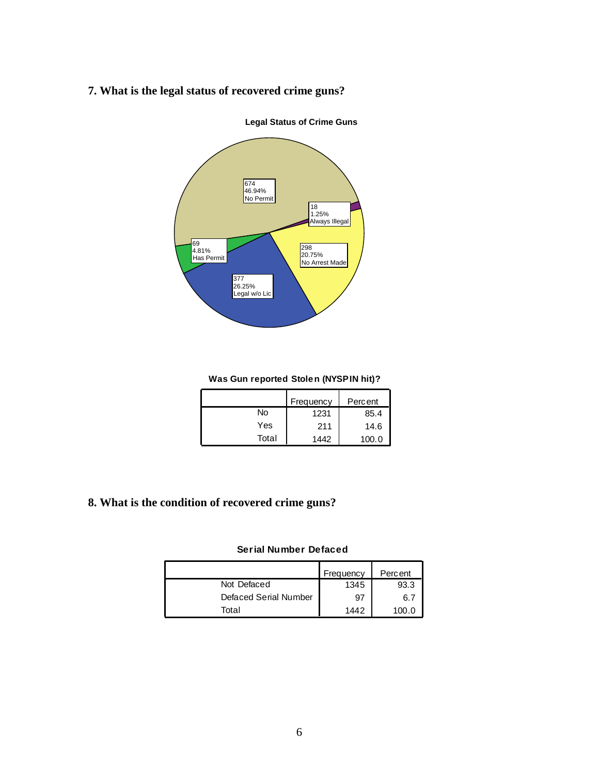## **7. What is the legal status of recovered crime guns?**

![](_page_5_Figure_1.jpeg)

**Legal Status of Crime Guns**

#### **Was Gun reported Stolen (NYSPIN hit)?**

|       | Frequency | Percent |
|-------|-----------|---------|
| No    | 1231      | 85.4    |
| Yes   | 211       | 14.6    |
| Total | 1442      | 100.0   |

## **8. What is the condition of recovered crime guns?**

#### **Serial Number Defaced**

|                       | Frequency | Percent |
|-----------------------|-----------|---------|
| Not Defaced           | 1345      | 93.3    |
| Defaced Serial Number | 97        | 6.7     |
| Total                 | 1442      | 100 O   |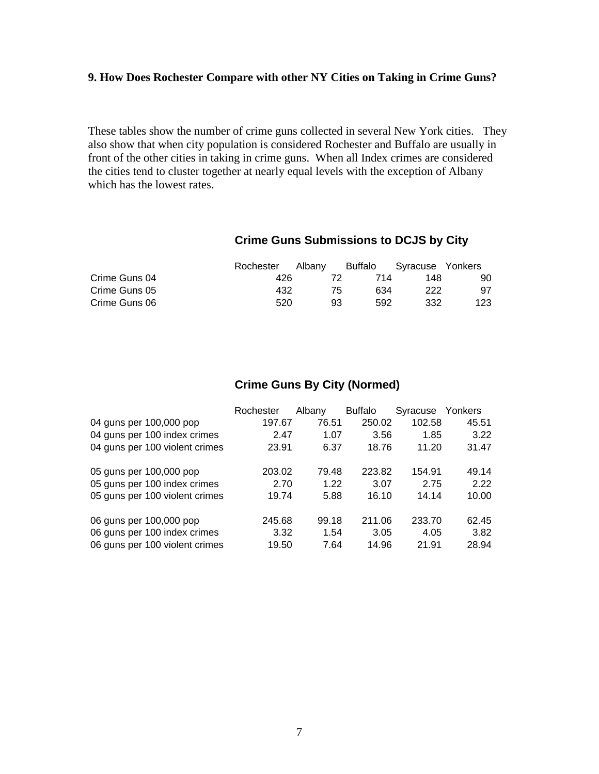## **9. How Does Rochester Compare with other NY Cities on Taking in Crime Guns?**

These tables show the number of crime guns collected in several New York cities. They also show that when city population is considered Rochester and Buffalo are usually in front of the other cities in taking in crime guns. When all Index crimes are considered the cities tend to cluster together at nearly equal levels with the exception of Albany which has the lowest rates.

## **Crime Guns Submissions to DCJS by City**

|               | Rochester | Albany |     | Buffalo | Syracuse Yonkers |     |
|---------------|-----------|--------|-----|---------|------------------|-----|
| Crime Guns 04 | 426       |        |     | 714     | 148              | 90  |
| Crime Guns 05 | 432       |        | 75. | 634     | 222              | 97  |
| Crime Guns 06 | 520       |        | 93  | 592     | 332              | 123 |

## **Crime Guns By City (Normed)**

|                                | Rochester | Albany | <b>Buffalo</b> | Syracuse Yonkers |       |
|--------------------------------|-----------|--------|----------------|------------------|-------|
| 04 guns per 100,000 pop        | 197.67    | 76.51  | 250.02         | 102.58           | 45.51 |
| 04 guns per 100 index crimes   | 2.47      | 1.07   | 3.56           | 1.85             | 3.22  |
| 04 guns per 100 violent crimes | 23.91     | 6.37   | 18.76          | 11.20            | 31.47 |
| 05 guns per 100,000 pop        | 203.02    | 79.48  | 223.82         | 154.91           | 49.14 |
| 05 guns per 100 index crimes   | 2.70      | 1.22   | 3.07           | 2.75             | 2.22  |
| 05 guns per 100 violent crimes | 19.74     | 5.88   | 16.10          | 14.14            | 10.00 |
| 06 guns per 100,000 pop        | 245.68    | 99.18  | 211.06         | 233.70           | 62.45 |
| 06 guns per 100 index crimes   | 3.32      | 1.54   | 3.05           | 4.05             | 3.82  |
| 06 guns per 100 violent crimes | 19.50     | 7.64   | 14.96          | 21.91            | 28.94 |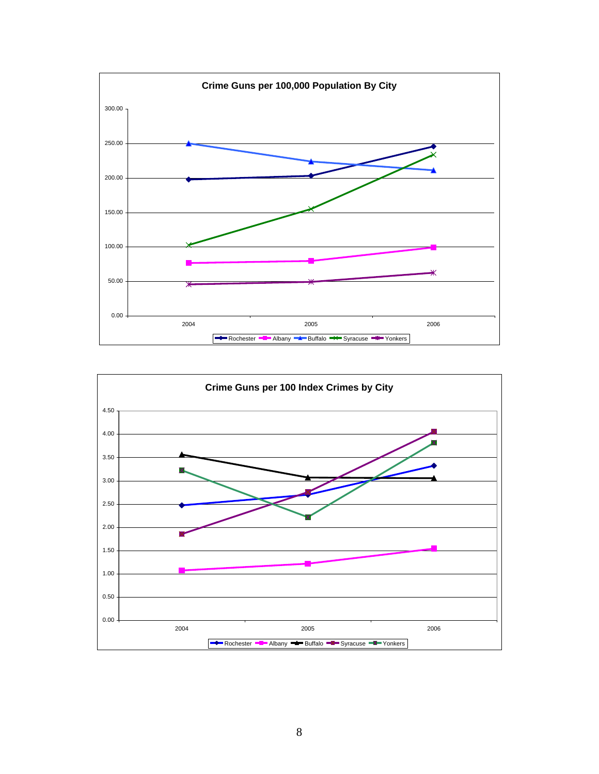![](_page_7_Figure_0.jpeg)

![](_page_7_Figure_1.jpeg)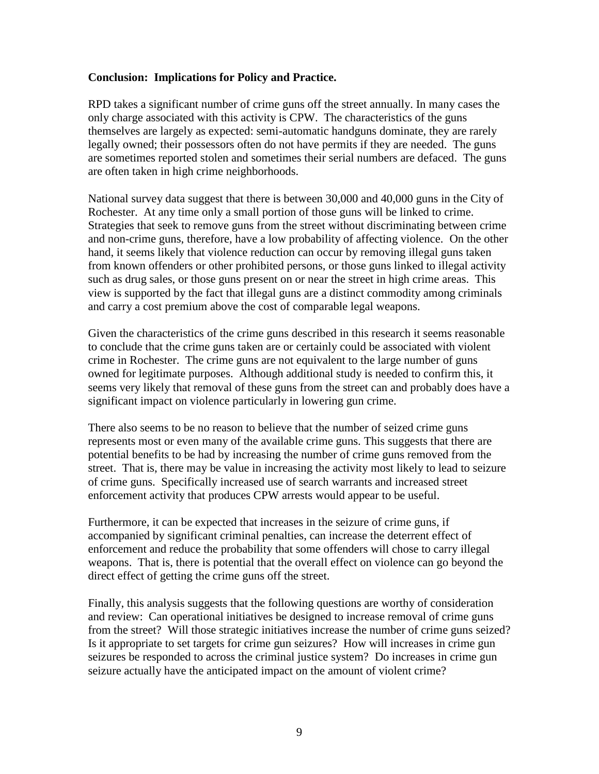## **Conclusion: Implications for Policy and Practice.**

RPD takes a significant number of crime guns off the street annually. In many cases the only charge associated with this activity is CPW. The characteristics of the guns themselves are largely as expected: semi-automatic handguns dominate, they are rarely legally owned; their possessors often do not have permits if they are needed. The guns are sometimes reported stolen and sometimes their serial numbers are defaced. The guns are often taken in high crime neighborhoods.

National survey data suggest that there is between 30,000 and 40,000 guns in the City of Rochester. At any time only a small portion of those guns will be linked to crime. Strategies that seek to remove guns from the street without discriminating between crime and non-crime guns, therefore, have a low probability of affecting violence. On the other hand, it seems likely that violence reduction can occur by removing illegal guns taken from known offenders or other prohibited persons, or those guns linked to illegal activity such as drug sales, or those guns present on or near the street in high crime areas. This view is supported by the fact that illegal guns are a distinct commodity among criminals and carry a cost premium above the cost of comparable legal weapons.

Given the characteristics of the crime guns described in this research it seems reasonable to conclude that the crime guns taken are or certainly could be associated with violent crime in Rochester. The crime guns are not equivalent to the large number of guns owned for legitimate purposes. Although additional study is needed to confirm this, it seems very likely that removal of these guns from the street can and probably does have a significant impact on violence particularly in lowering gun crime.

There also seems to be no reason to believe that the number of seized crime guns represents most or even many of the available crime guns. This suggests that there are potential benefits to be had by increasing the number of crime guns removed from the street. That is, there may be value in increasing the activity most likely to lead to seizure of crime guns. Specifically increased use of search warrants and increased street enforcement activity that produces CPW arrests would appear to be useful.

Furthermore, it can be expected that increases in the seizure of crime guns, if accompanied by significant criminal penalties, can increase the deterrent effect of enforcement and reduce the probability that some offenders will chose to carry illegal weapons. That is, there is potential that the overall effect on violence can go beyond the direct effect of getting the crime guns off the street.

Finally, this analysis suggests that the following questions are worthy of consideration and review: Can operational initiatives be designed to increase removal of crime guns from the street? Will those strategic initiatives increase the number of crime guns seized? Is it appropriate to set targets for crime gun seizures? How will increases in crime gun seizures be responded to across the criminal justice system? Do increases in crime gun seizure actually have the anticipated impact on the amount of violent crime?